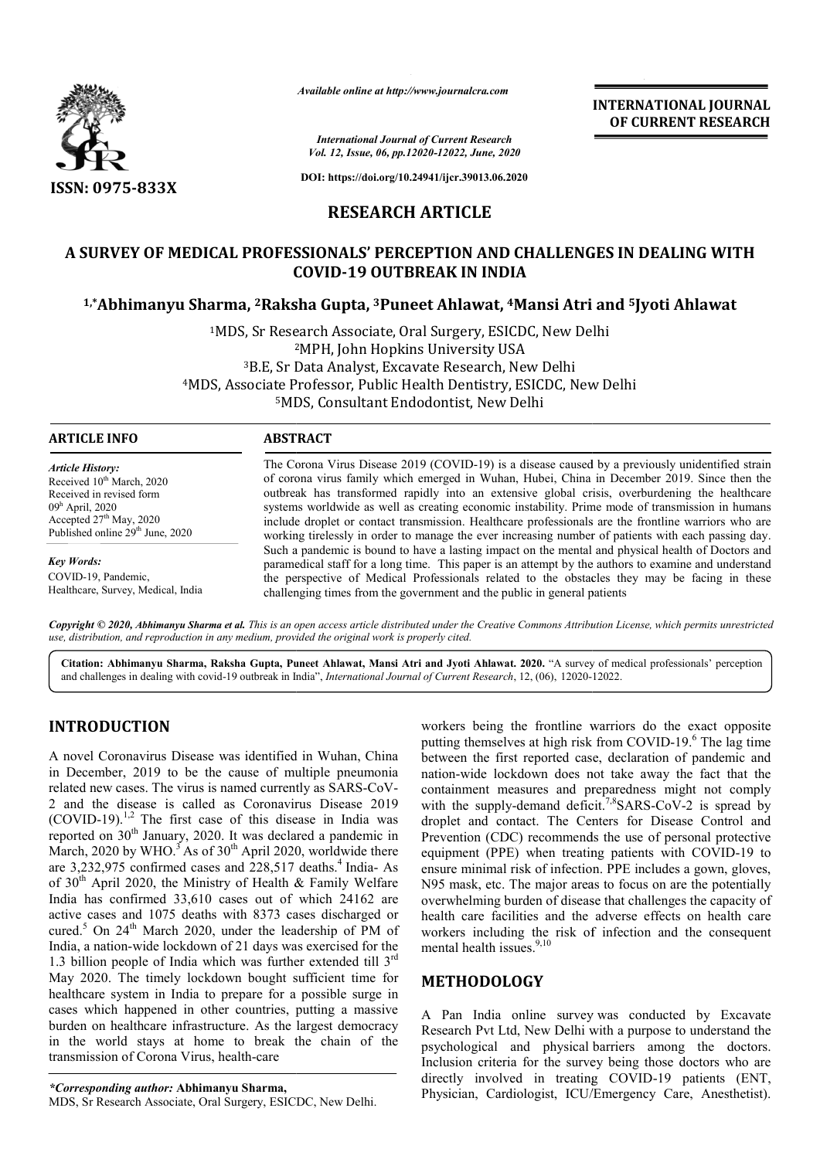

*Available online at http://www.journalcra.com*

**INTERNATIONAL JOURNAL OF CURRENT RESEARCH**

*International Journal of Current Research Vol. 12, Issue, 06, pp.12020-12022, June, 2020*

**DOI: https://doi.org/10.24941/ijcr.39013.06.2020**

# **RESEARCH ARTICLE**

# **A SURVEY OF MEDICAL PROFESSIONALS' PERCEPTION AND CHALLENGES IN DEALING WITH COVID COVID-19 OUTBREAK IN INDIA**

## **1,\*Abhimanyu Sharma, 2Raksha Gupta, Raksha 3Puneet Ahlawat, 4Mansi Atri and Mansi 5Jyoti Ahlawat**

<sup>1</sup>MDS, Sr Research Associate, Oral Surgery, ESICDC, New Delhi<br><sup>2</sup>MPH, John Hopkins University USA <sup>2</sup>MPH, John Hopkins University USA 3B.E, Sr Data Analyst, Excavate Research, New Delhi 4MDS, Associate Professor, Public Health Dentistry, ESICDC, New Delhi 5MDS, Consultant Endodontist, New Delhi <sup>3</sup>B.E, Sr Dat<br>MDS, Associate Prof<br><sup>5</sup>MDS,

## **ARTICLE INFO ABSTRACT**

*Article History:* Received 10<sup>th</sup> March, 2020 Received in revised form 09h April, 2020 Accepted 27<sup>th</sup> May, 2020 Published online 29<sup>th</sup> June, 2020

*Key Words:* COVID-19, Pandemic, Healthcare, Survey, Medical, India The Corona Virus Disease 2019 (COVID-19) is a disease caused by a previously unidentified strain of corona virus family which emerged in Wuhan, Hubei, China in December 2019. Since then the outbreak has transformed rapidly into an extensive global crisis, overburdening the healthcare systems ystems worldwide as well as creating economic instability. Prime mode of transmission in humans include droplet or contact transmission. Healthcare professionals are the frontline warriors who are working tirelessly in order to manage the ever increasing number of patients with each passing day. Such a pandemic is bound to have a lasting impact on the mental and physical health of Doctors and paramedical staff for a long time. This paper is an attempt by the authors to examine and understand the perspective of Medical Professionals related to the obstacles they may be facing in these challenging times from the government and the public in general patients

Copyright © 2020, Abhimanyu Sharma et al. This is an open access article distributed under the Creative Commons Attribution License, which permits unrestrictea *use, distribution, and reproduction in any medium, provided the original work is properly cited.*

Citation: Abhimanyu Sharma, Raksha Gupta, Puneet Ahlawat, Mansi Atri and Jyoti Ahlawat. 2020. "A survey of medical professionals' perception<br>and challenges in dealing with covid-19 outbreak in India", *International Journa* and challenges in dealing with covid-19 outbreak in India", *International Journal of Current Research*, 12, (06), 12020-12022

## **INTRODUCTION**

A novel Coronavirus Disease was identified in Wuhan, China in December, 2019 to be the cause of multiple pneumonia related new cases. The virus is named currently as SARS-CoV-2 and the disease is called as Coronavirus Disease 2019  $(COVID-19)$ <sup>1,2</sup> The first case of this disease in India was reported on 30<sup>th</sup> January, 2020. It was declared a pandemic in March, 2020 by WHO.<sup>3</sup> As of 30<sup>th</sup> April 2020, worldwide there are 3,232,975 confirmed cases and 228,517 deaths.<sup>4</sup> India- As of 30<sup>th</sup> April 2020, the Ministry of Health & Family Welfare India has confirmed 33,610 cases out of which 24162 are active cases and 1075 deaths with 8373 cases discharged or cured.<sup>5</sup> On 24<sup>th</sup> March 2020, under the leadership of PM of India, a nation-wide lockdown of 21 days was exercised for the 1.3 billion people of India which was further extended till  $3^{rd}$ May 2020. The timely lockdown bought sufficient time for healthcare system in India to prepare for a possible surge in cases which happened in other countries, putting a massive burden on healthcare infrastructure. As the largest democracy in the world stays at home to break the chain of the transmission of Corona Virus, health-care

workers being the frontline warriors warriors do the exact opposite putting themselves at high risk from COVID-19.<sup>6</sup> The lag time between the first reported case, declaration of pandemic and nation-wide lockdown does not take away the fact that the containment measures and preparedness might not comply with the supply-demand deficit.<sup>7,8</sup>SARS-CoV-2 is spread by droplet and contact. The Centers for Disease Control and Prevention (CDC) recommends the use of personal protective equipment (PPE) when treating patients with COVID-19 to ensure minimal risk of infection. PPE includes a gown, gloves, N95 mask, etc. The major areas to focus on are the potentially overwhelming burden of disease that challenges the capacity of health care facilities and the adverse effects on health care workers including the risk of infection and the consequent mental health issues.<sup>9,10</sup>

## **METHODOLOGY**

A Pan India online survey was conducted by Excavate Research Pvt Ltd, New Delhi with a purpose to understand the psychological and physical barriers among the doctors. Inclusion criteria for the survey being those doctors who are directly involved in treating COVID-19 patients (ENT, Physician, Cardiologist, ICU/Emergency Care, Anesthetist).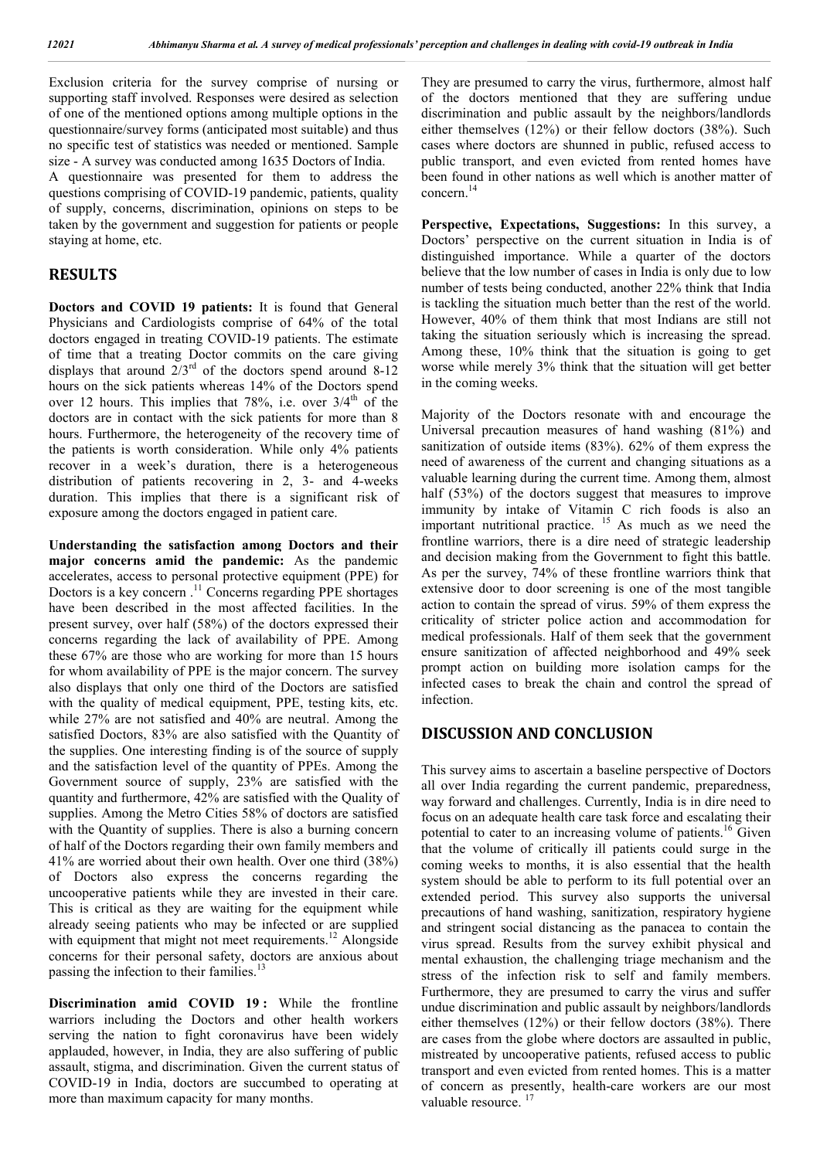Exclusion criteria for the survey comprise of nursing or supporting staff involved. Responses were desired as selection of one of the mentioned options among multiple options in the questionnaire/survey forms (anticipated most suitable) and thus no specific test of statistics was needed or mentioned. Sample size - A survey was conducted among 1635 Doctors of India. A questionnaire was presented for them to address the

questions comprising of COVID-19 pandemic, patients, quality of supply, concerns, discrimination, opinions on steps to be taken by the government and suggestion for patients or people staying at home, etc.

#### **RESULTS**

**Doctors and COVID 19 patients:** It is found that General Physicians and Cardiologists comprise of 64% of the total doctors engaged in treating COVID-19 patients. The estimate of time that a treating Doctor commits on the care giving displays that around  $2/3^{rd}$  of the doctors spend around 8-12 hours on the sick patients whereas 14% of the Doctors spend over 12 hours. This implies that  $78\%$ , i.e. over  $3/4<sup>th</sup>$  of the doctors are in contact with the sick patients for more than 8 hours. Furthermore, the heterogeneity of the recovery time of the patients is worth consideration. While only 4% patients recover in a week's duration, there is a heterogeneous distribution of patients recovering in 2, 3- and 4-weeks duration. This implies that there is a significant risk of exposure among the doctors engaged in patient care.

**Understanding the satisfaction among Doctors and their major concerns amid the pandemic:** As the pandemic accelerates, access to personal protective equipment (PPE) for Doctors is a key concern.<sup>11</sup> Concerns regarding PPE shortages have been described in the most affected facilities. In the present survey, over half (58%) of the doctors expressed their concerns regarding the lack of availability of PPE. Among these 67% are those who are working for more than 15 hours for whom availability of PPE is the major concern. The survey also displays that only one third of the Doctors are satisfied with the quality of medical equipment, PPE, testing kits, etc. while 27% are not satisfied and 40% are neutral. Among the satisfied Doctors, 83% are also satisfied with the Quantity of the supplies. One interesting finding is of the source of supply and the satisfaction level of the quantity of PPEs. Among the Government source of supply, 23% are satisfied with the quantity and furthermore, 42% are satisfied with the Quality of supplies. Among the Metro Cities 58% of doctors are satisfied with the Quantity of supplies. There is also a burning concern of half of the Doctors regarding their own family members and 41% are worried about their own health. Over one third (38%) of Doctors also express the concerns regarding the uncooperative patients while they are invested in their care. This is critical as they are waiting for the equipment while already seeing patients who may be infected or are supplied with equipment that might not meet requirements.<sup>12</sup> Alongside concerns for their personal safety, doctors are anxious about passing the infection to their families.<sup>13</sup>

**Discrimination amid COVID 19 :** While the frontline warriors including the Doctors and other health workers serving the nation to fight coronavirus have been widely applauded, however, in India, they are also suffering of public assault, stigma, and discrimination. Given the current status of COVID-19 in India, doctors are succumbed to operating at more than maximum capacity for many months.

They are presumed to carry the virus, furthermore, almost half of the doctors mentioned that they are suffering undue discrimination and public assault by the neighbors/landlords either themselves (12%) or their fellow doctors (38%). Such cases where doctors are shunned in public, refused access to public transport, and even evicted from rented homes have been found in other nations as well which is another matter of concern.<sup>14</sup>

**Perspective, Expectations, Suggestions:** In this survey, a Doctors' perspective on the current situation in India is of distinguished importance. While a quarter of the doctors believe that the low number of cases in India is only due to low number of tests being conducted, another 22% think that India is tackling the situation much better than the rest of the world. However, 40% of them think that most Indians are still not taking the situation seriously which is increasing the spread. Among these, 10% think that the situation is going to get worse while merely 3% think that the situation will get better in the coming weeks.

Majority of the Doctors resonate with and encourage the Universal precaution measures of hand washing (81%) and sanitization of outside items (83%). 62% of them express the need of awareness of the current and changing situations as a valuable learning during the current time. Among them, almost half (53%) of the doctors suggest that measures to improve immunity by intake of Vitamin C rich foods is also an important nutritional practice. <sup>15</sup> As much as we need the frontline warriors, there is a dire need of strategic leadership and decision making from the Government to fight this battle. As per the survey, 74% of these frontline warriors think that extensive door to door screening is one of the most tangible action to contain the spread of virus. 59% of them express the criticality of stricter police action and accommodation for medical professionals. Half of them seek that the government ensure sanitization of affected neighborhood and 49% seek prompt action on building more isolation camps for the infected cases to break the chain and control the spread of infection.

#### **DISCUSSION AND CONCLUSION**

This survey aims to ascertain a baseline perspective of Doctors all over India regarding the current pandemic, preparedness, way forward and challenges. Currently, India is in dire need to focus on an adequate health care task force and escalating their potential to cater to an increasing volume of patients.<sup>16</sup> Given that the volume of critically ill patients could surge in the coming weeks to months, it is also essential that the health system should be able to perform to its full potential over an extended period. This survey also supports the universal precautions of hand washing, sanitization, respiratory hygiene and stringent social distancing as the panacea to contain the virus spread. Results from the survey exhibit physical and mental exhaustion, the challenging triage mechanism and the stress of the infection risk to self and family members. Furthermore, they are presumed to carry the virus and suffer undue discrimination and public assault by neighbors/landlords either themselves (12%) or their fellow doctors (38%). There are cases from the globe where doctors are assaulted in public, mistreated by uncooperative patients, refused access to public transport and even evicted from rented homes. This is a matter of concern as presently, health-care workers are our most valuable resource. <sup>17</sup>